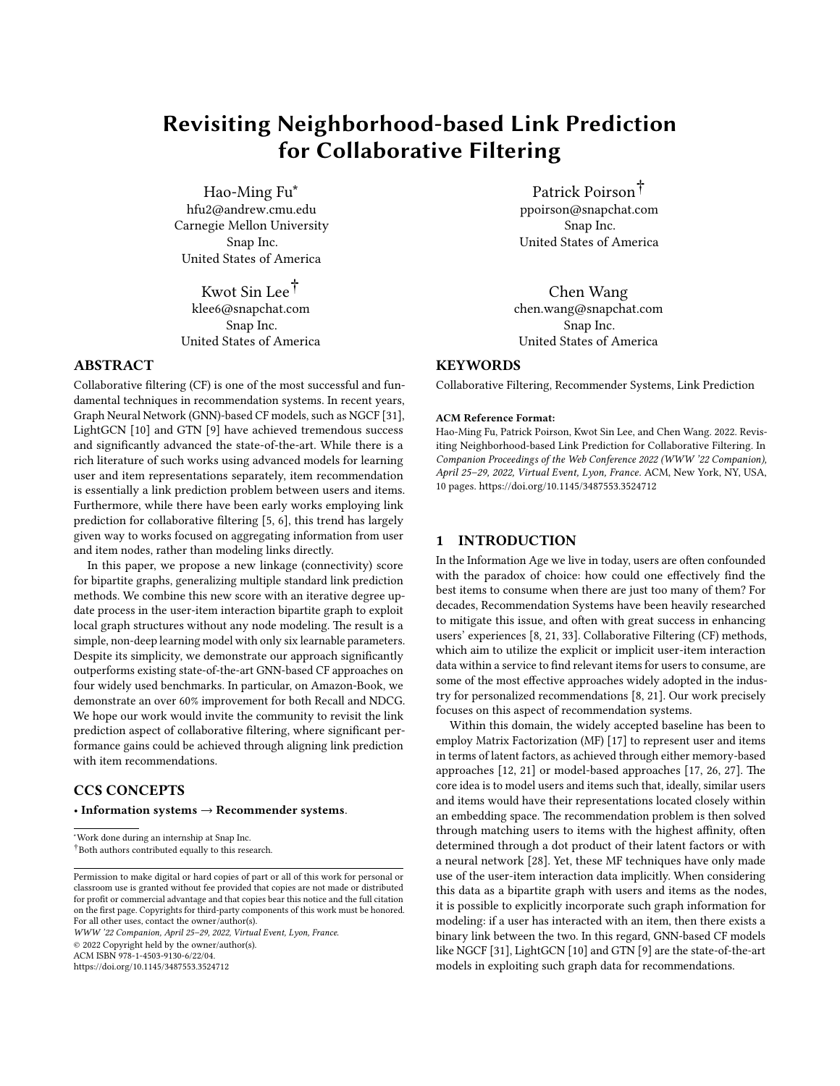# Revisiting Neighborhood-based Link Prediction for Collaborative Filtering

Hao-Ming Fu∗ hfu2@andrew.cmu.edu Carnegie Mellon University Snap Inc. United States of America

Kwot Sin Lee† klee6@snapchat.com Snap Inc. United States of America

# ABSTRACT

Collaborative filtering (CF) is one of the most successful and fundamental techniques in recommendation systems. In recent years, Graph Neural Network (GNN)-based CF models, such as NGCF [\[31\]](#page-8-0), LightGCN [\[10\]](#page-8-1) and GTN [\[9\]](#page-8-2) have achieved tremendous success and significantly advanced the state-of-the-art. While there is a rich literature of such works using advanced models for learning user and item representations separately, item recommendation is essentially a link prediction problem between users and items. Furthermore, while there have been early works employing link prediction for collaborative filtering [\[5,](#page-8-3) [6\]](#page-8-4), this trend has largely given way to works focused on aggregating information from user and item nodes, rather than modeling links directly.

In this paper, we propose a new linkage (connectivity) score for bipartite graphs, generalizing multiple standard link prediction methods. We combine this new score with an iterative degree update process in the user-item interaction bipartite graph to exploit local graph structures without any node modeling. The result is a simple, non-deep learning model with only six learnable parameters. Despite its simplicity, we demonstrate our approach significantly outperforms existing state-of-the-art GNN-based CF approaches on four widely used benchmarks. In particular, on Amazon-Book, we demonstrate an over 60% improvement for both Recall and NDCG. We hope our work would invite the community to revisit the link prediction aspect of collaborative filtering, where significant performance gains could be achieved through aligning link prediction with item recommendations.

# CCS CONCEPTS

# • Information systems  $\rightarrow$  Recommender systems.

†Both authors contributed equally to this research.

WWW '22 Companion, April 25–29, 2022, Virtual Event, Lyon, France. © 2022 Copyright held by the owner/author(s).

ACM ISBN 978-1-4503-9130-6/22/04.

<https://doi.org/10.1145/3487553.3524712>

Patrick Poirson† ppoirson@snapchat.com Snap Inc. United States of America

Chen Wang chen.wang@snapchat.com Snap Inc. United States of America

# **KEYWORDS**

Collaborative Filtering, Recommender Systems, Link Prediction

#### ACM Reference Format:

Hao-Ming Fu, Patrick Poirson, Kwot Sin Lee, and Chen Wang. 2022. Revisiting Neighborhood-based Link Prediction for Collaborative Filtering. In Companion Proceedings of the Web Conference 2022 (WWW '22 Companion), April 25–29, 2022, Virtual Event, Lyon, France. ACM, New York, NY, USA, [10](#page-9-0) pages.<https://doi.org/10.1145/3487553.3524712>

# 1 INTRODUCTION

In the Information Age we live in today, users are often confounded with the paradox of choice: how could one effectively find the best items to consume when there are just too many of them? For decades, Recommendation Systems have been heavily researched to mitigate this issue, and often with great success in enhancing users' experiences [\[8,](#page-8-5) [21,](#page-8-6) [33\]](#page-8-7). Collaborative Filtering (CF) methods, which aim to utilize the explicit or implicit user-item interaction data within a service to find relevant items for users to consume, are some of the most effective approaches widely adopted in the industry for personalized recommendations [\[8,](#page-8-5) [21\]](#page-8-6). Our work precisely focuses on this aspect of recommendation systems.

Within this domain, the widely accepted baseline has been to employ Matrix Factorization (MF) [\[17\]](#page-8-8) to represent user and items in terms of latent factors, as achieved through either memory-based approaches [\[12,](#page-8-9) [21\]](#page-8-6) or model-based approaches [\[17,](#page-8-8) [26,](#page-8-10) [27\]](#page-8-11). The core idea is to model users and items such that, ideally, similar users and items would have their representations located closely within an embedding space. The recommendation problem is then solved through matching users to items with the highest affinity, often determined through a dot product of their latent factors or with a neural network [\[28\]](#page-8-12). Yet, these MF techniques have only made use of the user-item interaction data implicitly. When considering this data as a bipartite graph with users and items as the nodes, it is possible to explicitly incorporate such graph information for modeling: if a user has interacted with an item, then there exists a binary link between the two. In this regard, GNN-based CF models like NGCF [\[31\]](#page-8-0), LightGCN [\[10\]](#page-8-1) and GTN [\[9\]](#page-8-2) are the state-of-the-art models in exploiting such graph data for recommendations.

<sup>∗</sup>Work done during an internship at Snap Inc.

Permission to make digital or hard copies of part or all of this work for personal or classroom use is granted without fee provided that copies are not made or distributed for profit or commercial advantage and that copies bear this notice and the full citation on the first page. Copyrights for third-party components of this work must be honored. For all other uses, contact the owner/author(s).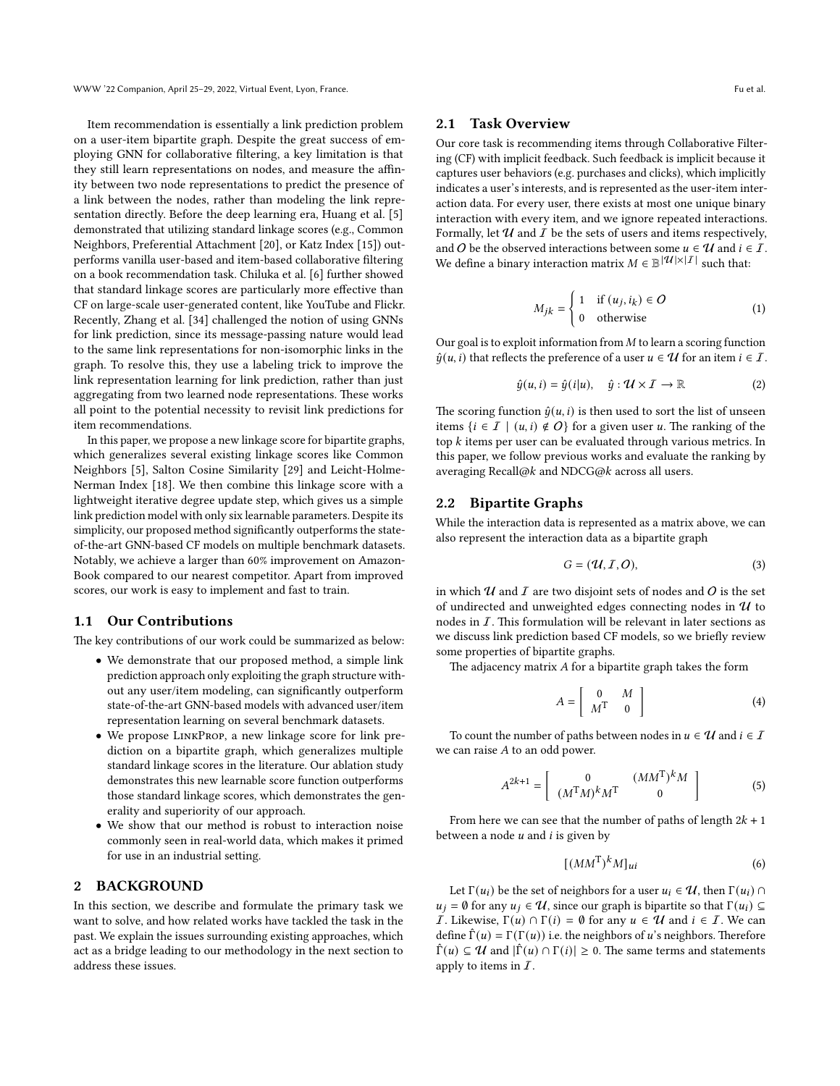Item recommendation is essentially a link prediction problem on a user-item bipartite graph. Despite the great success of employing GNN for collaborative filtering, a key limitation is that they still learn representations on nodes, and measure the affinity between two node representations to predict the presence of a link between the nodes, rather than modeling the link representation directly. Before the deep learning era, Huang et al. [\[5\]](#page-8-3) demonstrated that utilizing standard linkage scores (e.g., Common Neighbors, Preferential Attachment [\[20\]](#page-8-13), or Katz Index [\[15\]](#page-8-14)) outperforms vanilla user-based and item-based collaborative filtering on a book recommendation task. Chiluka et al. [\[6\]](#page-8-4) further showed that standard linkage scores are particularly more effective than CF on large-scale user-generated content, like YouTube and Flickr. Recently, Zhang et al. [\[34\]](#page-8-15) challenged the notion of using GNNs for link prediction, since its message-passing nature would lead to the same link representations for non-isomorphic links in the graph. To resolve this, they use a labeling trick to improve the link representation learning for link prediction, rather than just aggregating from two learned node representations. These works all point to the potential necessity to revisit link predictions for item recommendations.

In this paper, we propose a new linkage score for bipartite graphs, which generalizes several existing linkage scores like Common Neighbors [\[5\]](#page-8-3), Salton Cosine Similarity [\[29\]](#page-8-16) and Leicht-Holme-Nerman Index [\[18\]](#page-8-17). We then combine this linkage score with a lightweight iterative degree update step, which gives us a simple link prediction model with only six learnable parameters. Despite its simplicity, our proposed method significantly outperforms the stateof-the-art GNN-based CF models on multiple benchmark datasets. Notably, we achieve a larger than 60% improvement on Amazon-Book compared to our nearest competitor. Apart from improved scores, our work is easy to implement and fast to train.

## 1.1 Our Contributions

The key contributions of our work could be summarized as below:

- We demonstrate that our proposed method, a simple link prediction approach only exploiting the graph structure without any user/item modeling, can significantly outperform state-of-the-art GNN-based models with advanced user/item representation learning on several benchmark datasets.
- We propose LinkProp, a new linkage score for link prediction on a bipartite graph, which generalizes multiple standard linkage scores in the literature. Our ablation study demonstrates this new learnable score function outperforms those standard linkage scores, which demonstrates the generality and superiority of our approach.
- We show that our method is robust to interaction noise commonly seen in real-world data, which makes it primed for use in an industrial setting.

# 2 BACKGROUND

In this section, we describe and formulate the primary task we want to solve, and how related works have tackled the task in the past. We explain the issues surrounding existing approaches, which act as a bridge leading to our methodology in the next section to address these issues.

### 2.1 Task Overview

Our core task is recommending items through Collaborative Filtering (CF) with implicit feedback. Such feedback is implicit because it captures user behaviors (e.g. purchases and clicks), which implicitly indicates a user's interests, and is represented as the user-item interaction data. For every user, there exists at most one unique binary interaction with every item, and we ignore repeated interactions. Formally, let  $U$  and  $I$  be the sets of users and items respectively, and O be the observed interactions between some  $u \in \mathcal{U}$  and  $i \in \mathcal{I}$ . We define a binary interaction matrix  $M \in \mathbb{B}^{|\mathcal{U}| \times |\mathcal{I}|}$  such that:

$$
M_{jk} = \begin{cases} 1 & \text{if } (u_j, i_k) \in O \\ 0 & \text{otherwise} \end{cases}
$$
 (1)

Our goal is to exploit information from  $M$  to learn a scoring function  $\hat{y}(u, i)$  that reflects the preference of a user  $u \in \mathcal{U}$  for an item  $i \in \mathcal{I}$ .

$$
\hat{y}(u,i) = \hat{y}(i|u), \quad \hat{y}: \mathcal{U} \times \mathcal{I} \to \mathbb{R}
$$
 (2)

The scoring function  $\hat{y}(u, i)$  is then used to sort the list of unseen items  $\{i \in I \mid (u, i) \notin O\}$  for a given user u. The ranking of the top  $k$  items per user can be evaluated through various metrics. In this paper, we follow previous works and evaluate the ranking by averaging Recall@k and NDCG@k across all users.

### <span id="page-1-0"></span>2.2 Bipartite Graphs

While the interaction data is represented as a matrix above, we can also represent the interaction data as a bipartite graph

$$
G = (\mathcal{U}, \mathcal{I}, O),\tag{3}
$$

in which  $U$  and  $I$  are two disjoint sets of nodes and  $O$  is the set of undirected and unweighted edges connecting nodes in  $\mathcal U$  to nodes in  $I$ . This formulation will be relevant in later sections as we discuss link prediction based CF models, so we briefly review some properties of bipartite graphs.

The adjacency matrix  $A$  for a bipartite graph takes the form

$$
A = \left[ \begin{array}{cc} 0 & M \\ M^{\mathrm{T}} & 0 \end{array} \right] \tag{4}
$$

To count the number of paths between nodes in  $u \in \mathcal{U}$  and  $i \in \mathcal{I}$ we can raise  $A$  to an odd power.

$$
A^{2k+1} = \left[ \begin{array}{cc} 0 & (MM^{\mathrm{T}})^k M \\ (M^{\mathrm{T}}M)^k M^{\mathrm{T}} & 0 \end{array} \right] \tag{5}
$$

From here we can see that the number of paths of length  $2k + 1$ between a node  $u$  and  $i$  is given by

<span id="page-1-1"></span>
$$
[(MM^{\mathrm{T}})^k M]_{ui} \tag{6}
$$

Let  $\Gamma(u_i)$  be the set of neighbors for a user  $u_i \in \mathcal{U}$ , then  $\Gamma(u_i) \cap$  $u_j = \emptyset$  for any  $u_j \in \mathcal{U}$ , since our graph is bipartite so that  $\Gamma(u_i) \subseteq$ *I*. Likewise,  $\Gamma(u) \cap \Gamma(i) = \emptyset$  for any  $u \in \mathcal{U}$  and  $i \in \mathcal{I}$ . We can define  $\hat{\Gamma}(u) = \Gamma(\Gamma(u))$  i.e. the neighbors of u's neighbors. Therefore  $\hat{\Gamma}(u) \subseteq \mathcal{U}$  and  $|\hat{\Gamma}(u) \cap \Gamma(i)| \geq 0$ . The same terms and statements apply to items in  $I$ .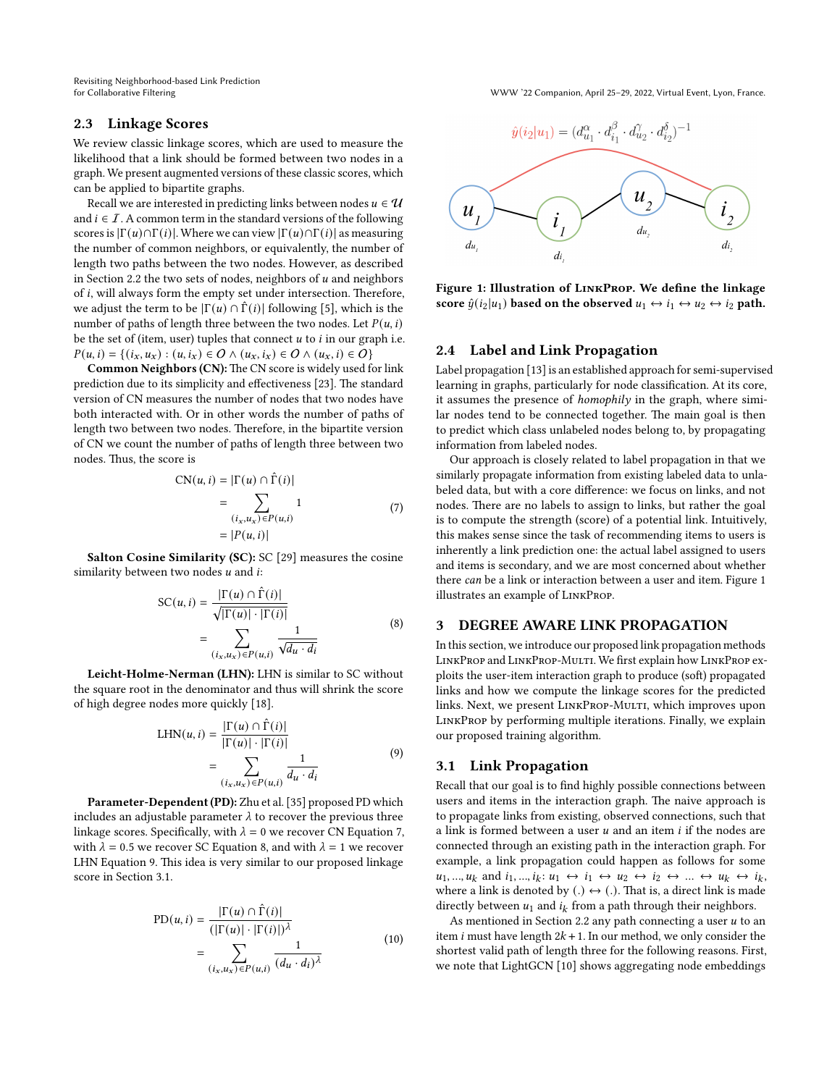Revisiting Neighborhood-based Link Prediction

for Collaborative Filtering WWW '22 Companion, April 25–29, 2022, Virtual Event, Lyon, France.

# <span id="page-2-5"></span>2.3 Linkage Scores

We review classic linkage scores, which are used to measure the likelihood that a link should be formed between two nodes in a graph. We present augmented versions of these classic scores, which can be applied to bipartite graphs.

Recall we are interested in predicting links between nodes  $u \in \mathcal{U}$ and  $i \in I$ . A common term in the standard versions of the following scores is  $|\Gamma(u) \cap \Gamma(i)|$ . Where we can view  $|\Gamma(u) \cap \Gamma(i)|$  as measuring the number of common neighbors, or equivalently, the number of length two paths between the two nodes. However, as described in Section [2.2](#page-1-0) the two sets of nodes, neighbors of  $u$  and neighbors of  $i$ , will always form the empty set under intersection. Therefore, we adjust the term to be  $|\Gamma(u) \cap \hat{\Gamma}(i)|$  following [\[5\]](#page-8-3), which is the number of paths of length three between the two nodes. Let  $P(u, i)$ be the set of (item, user) tuples that connect  $u$  to  $i$  in our graph i.e.  $P(u, i) = \{(i_x, u_x) : (u, i_x) \in O \land (u_x, i_x) \in O \land (u_x, i) \in O\}$ 

Common Neighbors (CN): The CN score is widely used for link prediction due to its simplicity and effectiveness [\[23\]](#page-8-18). The standard version of CN measures the number of nodes that two nodes have both interacted with. Or in other words the number of paths of length two between two nodes. Therefore, in the bipartite version of CN we count the number of paths of length three between two nodes. Thus, the score is

$$
CN(u, i) = |\Gamma(u) \cap \hat{\Gamma}(i)|
$$
  
= 
$$
\sum_{(i_x, u_x) \in P(u, i)} 1
$$
  
= 
$$
|P(u, i)|
$$
 (7)

<span id="page-2-0"></span>Salton Cosine Similarity (SC): SC [\[29\]](#page-8-16) measures the cosine similarity between two nodes  $u$  and  $i$ :

$$
SC(u, i) = \frac{|\Gamma(u) \cap \hat{\Gamma}(i)|}{\sqrt{|\Gamma(u)| \cdot |\Gamma(i)|}}
$$
  
= 
$$
\sum_{(i_x, u_x) \in P(u, i)} \frac{1}{\sqrt{d_u \cdot d_i}}
$$
 (8)

<span id="page-2-1"></span>Leicht-Holme-Nerman (LHN): LHN is similar to SC without the square root in the denominator and thus will shrink the score of high degree nodes more quickly [\[18\]](#page-8-17).

$$
LHN(u, i) = \frac{|\Gamma(u) \cap \hat{\Gamma}(i)|}{|\Gamma(u)| \cdot |\Gamma(i)|}
$$
  
= 
$$
\sum_{(i_x, u_x) \in P(u, i)} \frac{1}{d_u \cdot d_i}
$$
 (9)

<span id="page-2-2"></span>Parameter-Dependent (PD): Zhu et al. [\[35\]](#page-8-19) proposed PD which includes an adjustable parameter  $\lambda$  to recover the previous three linkage scores. Specifically, with  $\lambda = 0$  we recover CN Equation [7,](#page-2-0) with  $\lambda = 0.5$  we recover SC Equation [8,](#page-2-1) and with  $\lambda = 1$  we recover LHN Equation [9.](#page-2-2) This idea is very similar to our proposed linkage score in Section [3.1.](#page-2-3)

$$
PD(u, i) = \frac{|\Gamma(u) \cap \hat{\Gamma}(i)|}{(|\Gamma(u)| \cdot |\Gamma(i)|)^{\lambda}}
$$
  
= 
$$
\sum_{(i_x, u_x) \in P(u, i)} \frac{1}{(d_u \cdot d_i)^{\lambda}}
$$
 (10)

<span id="page-2-4"></span>

Figure 1: Illustration of LinkProp. We define the linkage score  $\hat{y}(i_2 | u_1)$  based on the observed  $u_1 \leftrightarrow i_1 \leftrightarrow u_2 \leftrightarrow i_2$  path.

### 2.4 Label and Link Propagation

Label propagation [\[13\]](#page-8-20) is an established approach for semi-supervised learning in graphs, particularly for node classification. At its core, it assumes the presence of homophily in the graph, where similar nodes tend to be connected together. The main goal is then to predict which class unlabeled nodes belong to, by propagating information from labeled nodes.

Our approach is closely related to label propagation in that we similarly propagate information from existing labeled data to unlabeled data, but with a core difference: we focus on links, and not nodes. There are no labels to assign to links, but rather the goal is to compute the strength (score) of a potential link. Intuitively, this makes sense since the task of recommending items to users is inherently a link prediction one: the actual label assigned to users and items is secondary, and we are most concerned about whether there can be a link or interaction between a user and item. Figure [1](#page-2-4) illustrates an example of LinkProp.

### 3 DEGREE AWARE LINK PROPAGATION

In this section, we introduce our proposed link propagation methods LinkProp and LinkProp-Multi. We first explain how LinkProp exploits the user-item interaction graph to produce (soft) propagated links and how we compute the linkage scores for the predicted links. Next, we present LINKPROP-MULTI, which improves upon LinkProp by performing multiple iterations. Finally, we explain our proposed training algorithm.

### <span id="page-2-3"></span>3.1 Link Propagation

Recall that our goal is to find highly possible connections between users and items in the interaction graph. The naive approach is to propagate links from existing, observed connections, such that a link is formed between a user  $u$  and an item  $i$  if the nodes are connected through an existing path in the interaction graph. For example, a link propagation could happen as follows for some  $u_1, ..., u_k$  and  $i_1, ..., i_k$ :  $u_1 \leftrightarrow i_1 \leftrightarrow u_2 \leftrightarrow i_2 \leftrightarrow ... \leftrightarrow u_k \leftrightarrow i_k$ where a link is denoted by (.)  $\leftrightarrow$  (.). That is, a direct link is made directly between  $u_1$  and  $i_k$  from a path through their neighbors.

As mentioned in Section [2.2](#page-1-0) any path connecting a user  $u$  to an item *i* must have length  $2k + 1$ . In our method, we only consider the shortest valid path of length three for the following reasons. First, we note that LightGCN [\[10\]](#page-8-1) shows aggregating node embeddings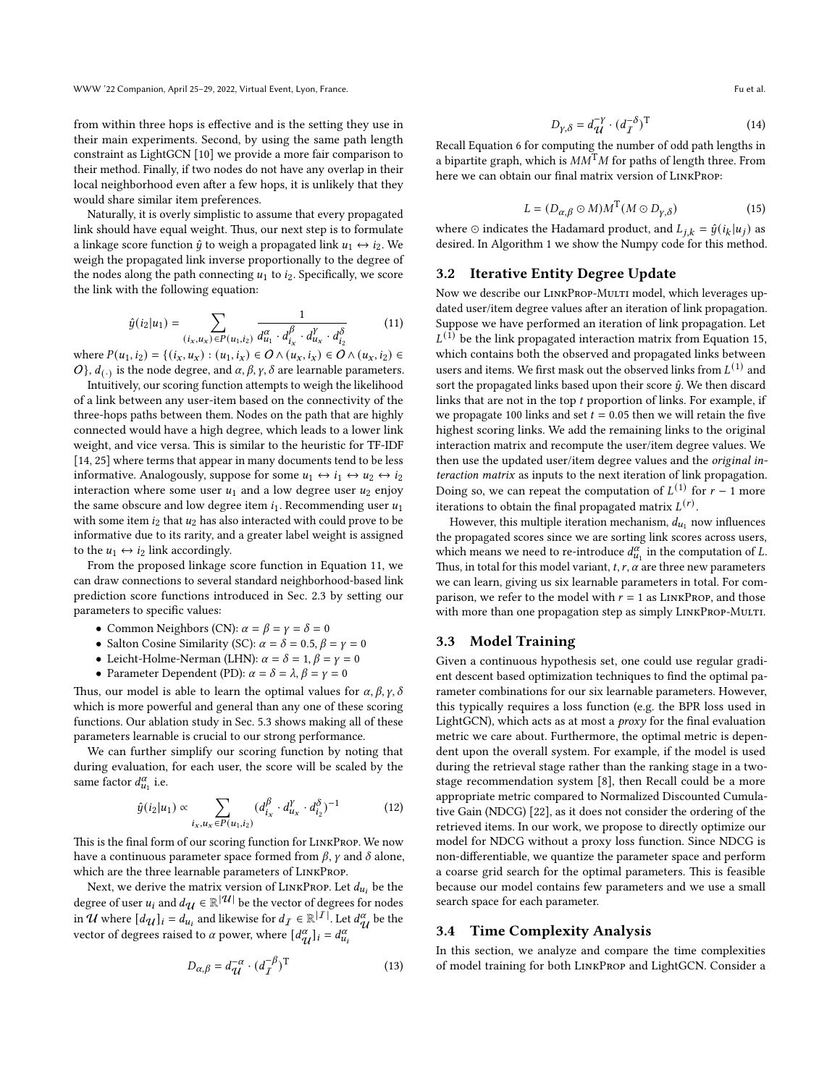from within three hops is effective and is the setting they use in their main experiments. Second, by using the same path length constraint as LightGCN [\[10\]](#page-8-1) we provide a more fair comparison to their method. Finally, if two nodes do not have any overlap in their local neighborhood even after a few hops, it is unlikely that they would share similar item preferences.

Naturally, it is overly simplistic to assume that every propagated link should have equal weight. Thus, our next step is to formulate a linkage score function  $\hat{y}$  to weigh a propagated link  $u_1 \leftrightarrow i_2$ . We weigh the propagated link inverse proportionally to the degree of the nodes along the path connecting  $u_1$  to  $i_2$ . Specifically, we score the link with the following equation:

<span id="page-3-0"></span>
$$
\hat{y}(i_2|u_1) = \sum_{(i_x, u_x) \in P(u_1, i_2)} \frac{1}{d_{u_1}^{\alpha} \cdot d_{i_x}^{\beta} \cdot d_{u_x}^{\gamma} \cdot d_{i_2}^{\delta}}
$$
(11)

where  $P(u_1, i_2) = \{(i_x, u_x) : (u_1, i_x) \in O \land (u_x, i_x) \in O \land (u_x, i_2) \in O \}$ O},  $d_{(.)}$  is the node degree, and  $\alpha$ ,  $\beta$ ,  $\gamma$ ,  $\delta$  are learnable parameters.

Intuitively, our scoring function attempts to weigh the likelihood of a link between any user-item based on the connectivity of the three-hops paths between them. Nodes on the path that are highly connected would have a high degree, which leads to a lower link weight, and vice versa. This is similar to the heuristic for TF-IDF [\[14,](#page-8-21) [25\]](#page-8-22) where terms that appear in many documents tend to be less informative. Analogously, suppose for some  $u_1 \leftrightarrow i_1 \leftrightarrow u_2 \leftrightarrow i_2$ interaction where some user  $u_1$  and a low degree user  $u_2$  enjoy the same obscure and low degree item  $i_1$ . Recommending user  $u_1$ with some item  $i_2$  that  $u_2$  has also interacted with could prove to be informative due to its rarity, and a greater label weight is assigned to the  $u_1 \leftrightarrow i_2$  link accordingly.

From the proposed linkage score function in Equation [11,](#page-3-0) we can draw connections to several standard neighborhood-based link prediction score functions introduced in Sec. [2.3](#page-2-5) by setting our parameters to specific values:

- Common Neighbors (CN):  $\alpha = \beta = \gamma = \delta = 0$
- Salton Cosine Similarity (SC):  $\alpha = \delta = 0.5, \beta = \gamma = 0$
- Leicht-Holme-Nerman (LHN):  $\alpha = \delta = 1, \beta = \gamma = 0$
- Parameter Dependent (PD):  $\alpha = \delta = \lambda$ ,  $\beta = \gamma = 0$

Thus, our model is able to learn the optimal values for  $\alpha$ ,  $\beta$ ,  $\gamma$ ,  $\delta$ which is more powerful and general than any one of these scoring functions. Our ablation study in Sec. [5.3](#page-6-0) shows making all of these parameters learnable is crucial to our strong performance.

We can further simplify our scoring function by noting that during evaluation, for each user, the score will be scaled by the same factor  $d_{u_1}^{\alpha}$  i.e.

$$
\hat{y}(i_2|u_1) \propto \sum_{i_x, u_x \in P(u_1, i_2)} (d_{i_x}^{\beta} \cdot d_{u_x}^{\gamma} \cdot d_{i_2}^{\delta})^{-1}
$$
(12)

This is the final form of our scoring function for LinkProp. We now have a continuous parameter space formed from  $\beta$ ,  $\gamma$  and  $\delta$  alone, which are the three learnable parameters of LinkProp.

Next, we derive the matrix version of  $L$ INKPROP. Let  $d_{u_i}$  be the degree of user  $u_i$  and  $d_{\mathcal{U}} \in \mathbb{R}^{|\mathcal{U}|}$  be the vector of degrees for nodes in  $\mathcal U$  where  $[d_{\mathcal U}]_i = d_{u_i}$  and likewise for  $d_{\mathcal I} \in \mathbb R^{|{\mathcal I}|}$ . Let  $d_{\mathcal I}^{\alpha}$  $\frac{a}{\mathcal{U}}$  be the vector of degrees raised to  $\alpha$  power, where  $\left[d_{\alpha}^{\alpha}\right]$  $\begin{cases} \alpha \\ u \end{cases}$   $i = d_{u_i}^\alpha$ 

$$
D_{\alpha,\beta} = d_{\mathcal{U}}^{-\alpha} \cdot (d_{\mathcal{I}}^{-\beta})^{\mathrm{T}}
$$
 (13)

$$
D_{\gamma,\delta} = d_{\mathcal{U}}^{-\gamma} \cdot (d_{\mathcal{I}}^{-\delta})^{\mathrm{T}}
$$
 (14)

Recall Equation [6](#page-1-1) for computing the number of odd path lengths in a bipartite graph, which is  $MM<sup>T</sup>M$  for paths of length three. From here we can obtain our final matrix version of LinkProp:

<span id="page-3-1"></span>
$$
L = (D_{\alpha,\beta} \odot M)M^{T}(M \odot D_{\gamma,\delta})
$$
 (15)

where  $\odot$  indicates the Hadamard product, and  $L_{j,k} = \hat{y}(i_k | u_j)$  as desired. In Algorithm [1](#page-4-0) we show the Numpy code for this method.

### 3.2 Iterative Entity Degree Update

Now we describe our LINKPROP-MULTI model, which leverages updated user/item degree values after an iteration of link propagation. Suppose we have performed an iteration of link propagation. Let  $L^{(1)}$  be the link propagated interaction matrix from Equation [15,](#page-3-1) which contains both the observed and propagated links between users and items. We first mask out the observed links from  ${\mathcal L}^{(1)}$  and sort the propagated links based upon their score  $\hat{y}$ . We then discard links that are not in the top  $t$  proportion of links. For example, if we propagate 100 links and set  $t = 0.05$  then we will retain the five highest scoring links. We add the remaining links to the original interaction matrix and recompute the user/item degree values. We then use the updated user/item degree values and the original interaction matrix as inputs to the next iteration of link propagation. Doing so, we can repeat the computation of  $L^{(1)}$  for  $r-1$  more iterations to obtain the final propagated matrix  $L(r)$ .

However, this multiple iteration mechanism,  $d_{u_1}$  now influences the propagated scores since we are sorting link scores across users, which means we need to re-introduce  $d_{u_1}^{\alpha}$  in the computation of L. Thus, in total for this model variant,  $t, r, \alpha$  are three new parameters we can learn, giving us six learnable parameters in total. For comparison, we refer to the model with  $r = 1$  as LINKPROP, and those with more than one propagation step as simply LINKPROP-MULTI.

#### 3.3 Model Training

Given a continuous hypothesis set, one could use regular gradient descent based optimization techniques to find the optimal parameter combinations for our six learnable parameters. However, this typically requires a loss function (e.g. the BPR loss used in LightGCN), which acts as at most a proxy for the final evaluation metric we care about. Furthermore, the optimal metric is dependent upon the overall system. For example, if the model is used during the retrieval stage rather than the ranking stage in a twostage recommendation system [\[8\]](#page-8-5), then Recall could be a more appropriate metric compared to Normalized Discounted Cumulative Gain (NDCG) [\[22\]](#page-8-23), as it does not consider the ordering of the retrieved items. In our work, we propose to directly optimize our model for NDCG without a proxy loss function. Since NDCG is non-differentiable, we quantize the parameter space and perform a coarse grid search for the optimal parameters. This is feasible because our model contains few parameters and we use a small search space for each parameter.

### <span id="page-3-2"></span>3.4 Time Complexity Analysis

In this section, we analyze and compare the time complexities of model training for both LinkProp and LightGCN. Consider a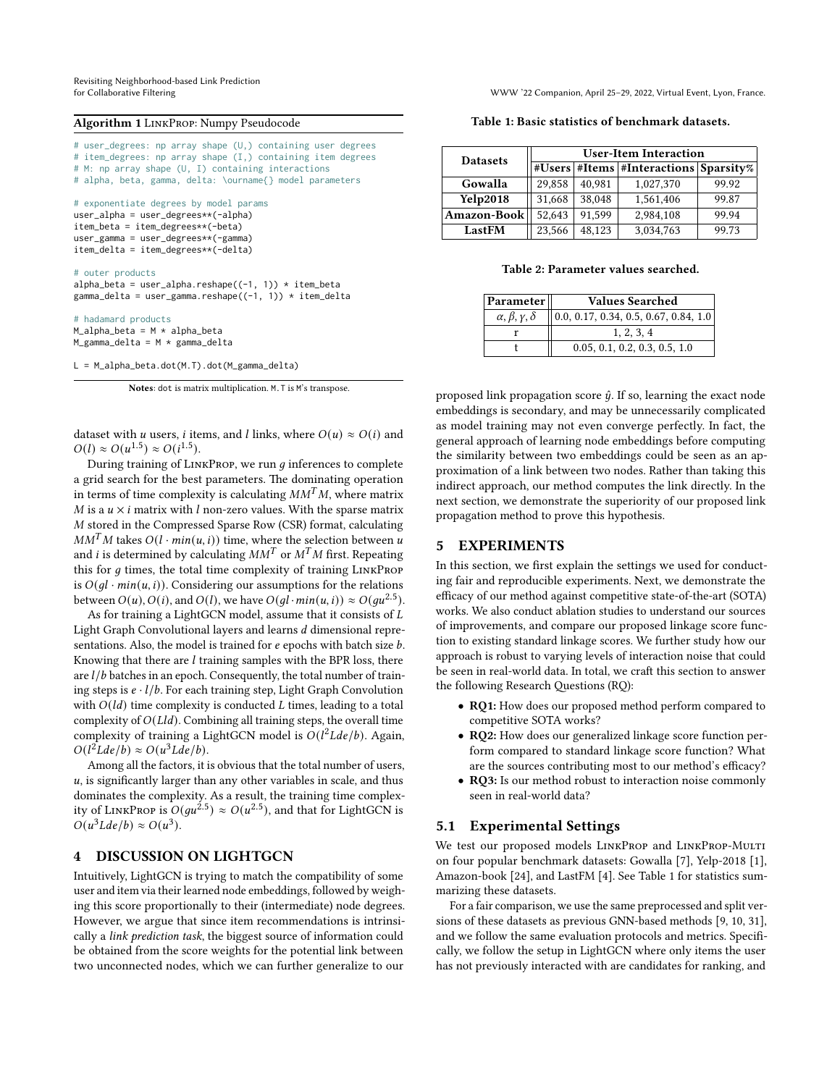Revisiting Neighborhood-based Link Prediction

for Collaborative Filtering WWW '22 Companion, April 25–29, 2022, Virtual Event, Lyon, France.

#### <span id="page-4-0"></span>Algorithm 1 LinkProp: Numpy Pseudocode

# user\_degrees: np array shape (U,) containing user degrees # item\_degrees: np array shape (I,) containing item degrees # M: np array shape (U, I) containing interactions # alpha, beta, gamma, delta: \ourname{} model parameters # exponentiate degrees by model params user\_alpha = user\_degrees\*\*(-alpha) item\_beta = item\_degrees\*\*(-beta) user\_gamma = user\_degrees\*\*(-gamma) item\_delta = item\_degrees\*\*(-delta) # outer products alpha\_beta = user\_alpha.reshape( $(-1, 1)$ ) \* item\_beta gamma\_delta = user\_gamma.reshape((-1, 1)) \* item\_delta # hadamard products  $M_alpha_b$ beta = M \* alpha\_beta

M\_gamma\_delta = M \* gamma\_delta

L = M\_alpha\_beta.dot(M.T).dot(M\_gamma\_delta)

Notes: dot is matrix multiplication. M.T is M's transpose.

dataset with *u* users, *i* items, and *l* links, where  $O(u) \approx O(i)$  and  $O(l) \approx O(u^{1.5}) \approx O(i^{1.5}).$ 

During training of  $LINKPROP$ , we run  $q$  inferences to complete a grid search for the best parameters. The dominating operation in terms of time complexity is calculating  $MM<sup>T</sup>M$ , where matrix  $M$  is a  $u \times i$  matrix with  $l$  non-zero values. With the sparse matrix M stored in the Compressed Sparse Row (CSR) format, calculating  $MM<sup>T</sup>M$  takes  $O(l \cdot min(u, i))$  time, where the selection between u and *i* is determined by calculating  $MM^T$  or  $M^T M$  first. Repeating this for  $g$  times, the total time complexity of training  $LINKProp$ is  $O(ql \cdot min(u, i))$ . Considering our assumptions for the relations between  $O(u)$ ,  $O(i)$ , and  $O(l)$ , we have  $O(gl \cdot min(u, i)) \approx O(gu^{2.5})$ .

As for training a LightGCN model, assume that it consists of  $L$ Light Graph Convolutional layers and learns d dimensional representations. Also, the model is trained for  $e$  epochs with batch size  $b$ . Knowing that there are  $l$  training samples with the BPR loss, there are  $l/b$  batches in an epoch. Consequently, the total number of training steps is  $e \cdot l/b$ . For each training step, Light Graph Convolution with  $O(id)$  time complexity is conducted L times, leading to a total complexity of  $O(Lld)$ . Combining all training steps, the overall time complexity of training a LightGCN model is  $O(l^2Lde/b)$ . Again,  $O(l^2Lde/b) \approx O(u^3Lde/b).$ 

Among all the factors, it is obvious that the total number of users,  $u$ , is significantly larger than any other variables in scale, and thus dominates the complexity. As a result, the training time complexity of LINKPROP is  $O(gu^{2.5}) \approx O(u^{2.5})$ , and that for LightGCN is  $O(u^3Lde/b) \approx O(u^3)$ .

# 4 DISCUSSION ON LIGHTGCN

Intuitively, LightGCN is trying to match the compatibility of some user and item via their learned node embeddings, followed by weighing this score proportionally to their (intermediate) node degrees. However, we argue that since item recommendations is intrinsically a link prediction task, the biggest source of information could be obtained from the score weights for the potential link between two unconnected nodes, which we can further generalize to our

<span id="page-4-1"></span>Table 1: Basic statistics of benchmark datasets.

| <b>Datasets</b> | <b>User-Item Interaction</b> |        |                                             |       |  |  |  |
|-----------------|------------------------------|--------|---------------------------------------------|-------|--|--|--|
|                 |                              |        | #Users   #Items   #Interactions   Sparsity% |       |  |  |  |
| Gowalla         | 29,858                       | 40.981 | 1,027,370                                   | 99.92 |  |  |  |
| <b>Yelp2018</b> | 31,668                       | 38,048 | 1,561,406                                   | 99.87 |  |  |  |
| Amazon-Book     | 52,643                       | 91.599 | 2,984,108                                   | 99.94 |  |  |  |
| LastFM          | 23,566                       | 48,123 | 3,034,763                                   | 99.73 |  |  |  |

#### Table 2: Parameter values searched.

<span id="page-4-2"></span>

| Parameter                       | <b>Values Searched</b>                              |  |  |  |  |  |
|---------------------------------|-----------------------------------------------------|--|--|--|--|--|
| $\alpha, \beta, \gamma, \delta$ | $\vert 0.0, 0.17, 0.34, 0.5, 0.67, 0.84, 1.0 \vert$ |  |  |  |  |  |
|                                 | 1, 2, 3, 4                                          |  |  |  |  |  |
|                                 | 0.05, 0.1, 0.2, 0.3, 0.5, 1.0                       |  |  |  |  |  |

proposed link propagation score  $\hat{y}$ . If so, learning the exact node embeddings is secondary, and may be unnecessarily complicated as model training may not even converge perfectly. In fact, the general approach of learning node embeddings before computing the similarity between two embeddings could be seen as an approximation of a link between two nodes. Rather than taking this indirect approach, our method computes the link directly. In the next section, we demonstrate the superiority of our proposed link propagation method to prove this hypothesis.

### 5 EXPERIMENTS

In this section, we first explain the settings we used for conducting fair and reproducible experiments. Next, we demonstrate the efficacy of our method against competitive state-of-the-art (SOTA) works. We also conduct ablation studies to understand our sources of improvements, and compare our proposed linkage score function to existing standard linkage scores. We further study how our approach is robust to varying levels of interaction noise that could be seen in real-world data. In total, we craft this section to answer the following Research Questions (RQ):

- RQ1: How does our proposed method perform compared to competitive SOTA works?
- RQ2: How does our generalized linkage score function perform compared to standard linkage score function? What are the sources contributing most to our method's efficacy?
- RQ3: Is our method robust to interaction noise commonly seen in real-world data?

### 5.1 Experimental Settings

We test our proposed models LINKPROP and LINKPROP-MULTI on four popular benchmark datasets: Gowalla [\[7\]](#page-8-24), Yelp-2018 [\[1\]](#page-8-25), Amazon-book [\[24\]](#page-8-26), and LastFM [\[4\]](#page-8-27). See Table [1](#page-4-1) for statistics summarizing these datasets.

For a fair comparison, we use the same preprocessed and split versions of these datasets as previous GNN-based methods [\[9,](#page-8-2) [10,](#page-8-1) [31\]](#page-8-0), and we follow the same evaluation protocols and metrics. Specifically, we follow the setup in LightGCN where only items the user has not previously interacted with are candidates for ranking, and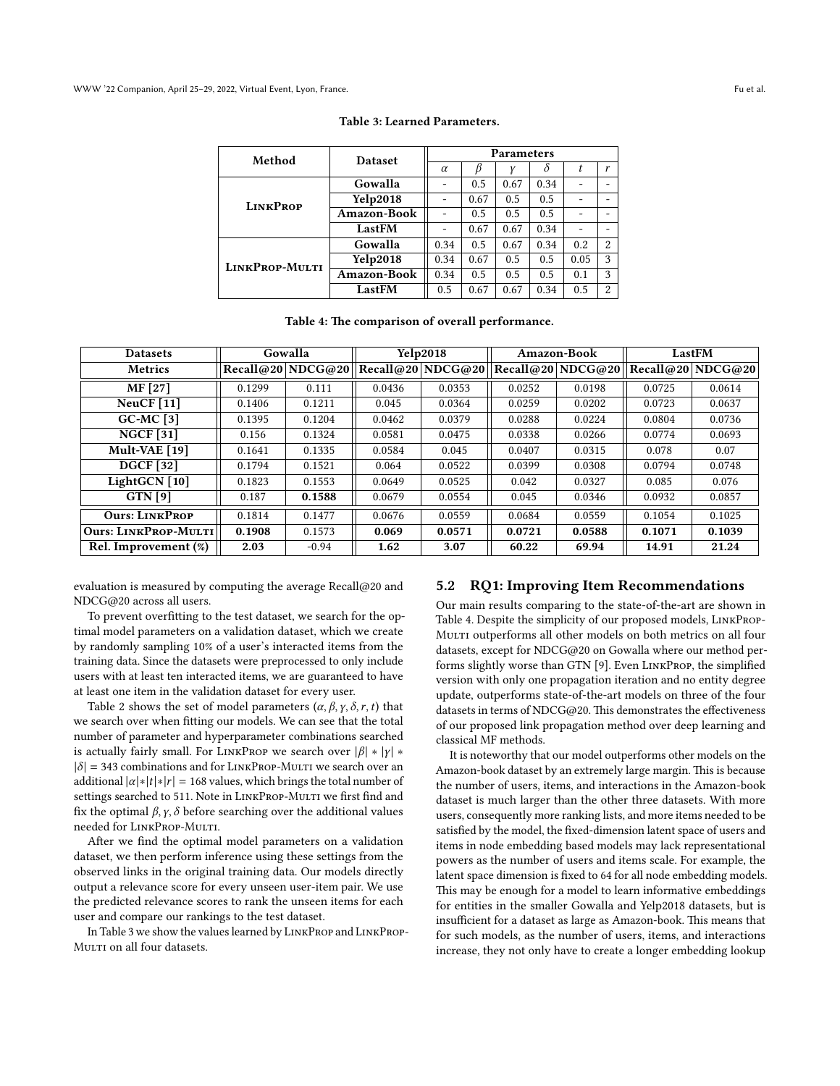<span id="page-5-0"></span>

| Method                | <b>Dataset</b>     | <b>Parameters</b> |      |      |      |                          |                |  |
|-----------------------|--------------------|-------------------|------|------|------|--------------------------|----------------|--|
|                       |                    | $\alpha$          |      |      | δ    | t                        | r              |  |
|                       | Gowalla            |                   | 0.5  | 0.67 | 0.34 |                          |                |  |
| <b>LINKPROP</b>       | <b>Yelp2018</b>    |                   | 0.67 | 0.5  | 0.5  | $\overline{\phantom{0}}$ | -              |  |
|                       | <b>Amazon-Book</b> |                   | 0.5  | 0.5  | 0.5  |                          |                |  |
|                       | LastFM             |                   | 0.67 | 0.67 | 0.34 |                          |                |  |
|                       | Gowalla            | 0.34              | 0.5  | 0.67 | 0.34 | 0.2                      | $\overline{2}$ |  |
| <b>LINKPROP-MULTI</b> | <b>Yelp2018</b>    | 0.34              | 0.67 | 0.5  | 0.5  | 0.05                     | 3              |  |
|                       | <b>Amazon-Book</b> | 0.34              | 0.5  | 0.5  | 0.5  | 0.1                      | 3              |  |
|                       | <b>LastFM</b>      | 0.5               | 0.67 | 0.67 | 0.34 | 0.5                      | $\overline{2}$ |  |

#### Table 3: Learned Parameters.

|  |  |  | Table 4: The comparison of overall performance. |
|--|--|--|-------------------------------------------------|
|--|--|--|-------------------------------------------------|

<span id="page-5-1"></span>

| <b>Datasets</b>             |        | Gowalla           |        | <b>Yelp2018</b>                      | Amazon-Book |                   | LastFM |                   |
|-----------------------------|--------|-------------------|--------|--------------------------------------|-------------|-------------------|--------|-------------------|
| <b>Metrics</b>              |        | Recall@20 NDCG@20 |        | $ {\rm Recall}@20$ $ {\rm NDCG}@20 $ |             | Recall@20 NDCG@20 |        | Recall@20 NDCG@20 |
| MF [27]                     | 0.1299 | 0.111             | 0.0436 | 0.0353                               | 0.0252      | 0.0198            | 0.0725 | 0.0614            |
| NeuCF[11]                   | 0.1406 | 0.1211            | 0.045  | 0.0364                               | 0.0259      | 0.0202            | 0.0723 | 0.0637            |
| $GC-MC$ [3]                 | 0.1395 | 0.1204            | 0.0462 | 0.0379                               | 0.0288      | 0.0224            | 0.0804 | 0.0736            |
| <b>NGCF</b> [31]            | 0.156  | 0.1324            | 0.0581 | 0.0475                               | 0.0338      | 0.0266            | 0.0774 | 0.0693            |
| Mult-VAE [19]               | 0.1641 | 0.1335            | 0.0584 | 0.045                                | 0.0407      | 0.0315            | 0.078  | 0.07              |
| <b>DGCF</b> [32]            | 0.1794 | 0.1521            | 0.064  | 0.0522                               | 0.0399      | 0.0308            | 0.0794 | 0.0748            |
| LightGCN [10]               | 0.1823 | 0.1553            | 0.0649 | 0.0525                               | 0.042       | 0.0327            | 0.085  | 0.076             |
| $GTN$ [9]                   | 0.187  | 0.1588            | 0.0679 | 0.0554                               | 0.045       | 0.0346            | 0.0932 | 0.0857            |
| <b>Ours: LINKPROP</b>       | 0.1814 | 0.1477            | 0.0676 | 0.0559                               | 0.0684      | 0.0559            | 0.1054 | 0.1025            |
| <b>Ours: LINKPROP-MULTI</b> | 0.1908 | 0.1573            | 0.069  | 0.0571                               | 0.0721      | 0.0588            | 0.1071 | 0.1039            |
| Rel. Improvement (%)        | 2.03   | $-0.94$           | 1.62   | 3.07                                 | 60.22       | 69.94             | 14.91  | 21.24             |

evaluation is measured by computing the average  $Recall@20$  and NDCG@20 across all users.

To prevent overfitting to the test dataset, we search for the optimal model parameters on a validation dataset, which we create by randomly sampling 10% of a user's interacted items from the training data. Since the datasets were preprocessed to only include users with at least ten interacted items, we are guaranteed to have at least one item in the validation dataset for every user.

Table [2](#page-4-2) shows the set of model parameters  $(\alpha, \beta, \gamma, \delta, r, t)$  that we search over when fitting our models. We can see that the total number of parameter and hyperparameter combinations searched is actually fairly small. For LINKPROP we search over  $|\beta| * |y| *$  $|\delta|$  = 343 combinations and for LINKPROP-MULTI we search over an additional  $|\alpha| * |t| * |r| = 168$  values, which brings the total number of settings searched to 511. Note in LINKPROP-MULTI we first find and fix the optimal  $\beta$ ,  $\gamma$ ,  $\delta$  before searching over the additional values needed for LinkProp-Multi.

After we find the optimal model parameters on a validation dataset, we then perform inference using these settings from the observed links in the original training data. Our models directly output a relevance score for every unseen user-item pair. We use the predicted relevance scores to rank the unseen items for each user and compare our rankings to the test dataset.

In Table [3](#page-5-0) we show the values learned by LinkProp and LinkProp-MULTI on all four datasets.

### 5.2 RQ1: Improving Item Recommendations

Our main results comparing to the state-of-the-art are shown in Table [4.](#page-5-1) Despite the simplicity of our proposed models, LinkProp-MULTI outperforms all other models on both metrics on all four datasets, except for NDCG@20 on Gowalla where our method performs slightly worse than GTN [\[9\]](#page-8-2). Even LinkProp, the simplified version with only one propagation iteration and no entity degree update, outperforms state-of-the-art models on three of the four datasets in terms of NDCG@20. This demonstrates the effectiveness of our proposed link propagation method over deep learning and classical MF methods.

It is noteworthy that our model outperforms other models on the Amazon-book dataset by an extremely large margin. This is because the number of users, items, and interactions in the Amazon-book dataset is much larger than the other three datasets. With more users, consequently more ranking lists, and more items needed to be satisfied by the model, the fixed-dimension latent space of users and items in node embedding based models may lack representational powers as the number of users and items scale. For example, the latent space dimension is fixed to 64 for all node embedding models. This may be enough for a model to learn informative embeddings for entities in the smaller Gowalla and Yelp2018 datasets, but is insufficient for a dataset as large as Amazon-book. This means that for such models, as the number of users, items, and interactions increase, they not only have to create a longer embedding lookup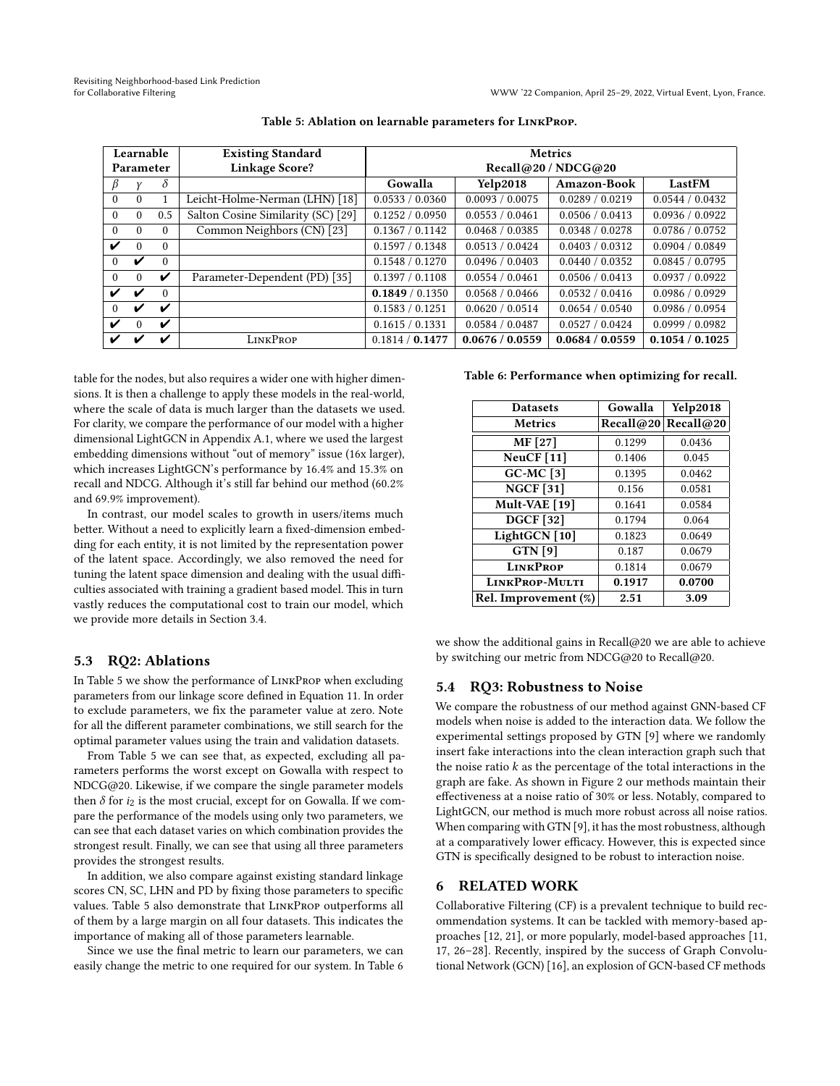<span id="page-6-1"></span>

| Learnable<br><b>Existing Standard</b> |           |          |                                    | <b>Metrics</b>      |                 |                 |                 |  |
|---------------------------------------|-----------|----------|------------------------------------|---------------------|-----------------|-----------------|-----------------|--|
|                                       | Parameter |          | Linkage Score?                     | Recall@20 / NDCG@20 |                 |                 |                 |  |
|                                       |           | $\delta$ |                                    | Gowalla             | <b>Yelp2018</b> | Amazon-Book     | LastFM          |  |
| $\theta$                              | $\theta$  |          | Leicht-Holme-Nerman (LHN) [18]     | 0.0533 / 0.0360     | 0.0093 / 0.0075 | 0.0289 / 0.0219 | 0.0544 / 0.0432 |  |
| $\theta$                              | $\theta$  | 0.5      | Salton Cosine Similarity (SC) [29] | 0.1252 / 0.0950     | 0.0553 / 0.0461 | 0.0506 / 0.0413 | 0.0936 / 0.0922 |  |
| $\Omega$                              | $\theta$  | $\Omega$ | Common Neighbors (CN) [23]         | 0.1367 / 0.1142     | 0.0468 / 0.0385 | 0.0348 / 0.0278 | 0.0786 / 0.0752 |  |
| ✓                                     | $\Omega$  | $\Omega$ |                                    | 0.1597 / 0.1348     | 0.0513 / 0.0424 | 0.0403 / 0.0312 | 0.0904 / 0.0849 |  |
| 0                                     | ✓         | $\Omega$ |                                    | 0.1548 / 0.1270     | 0.0496 / 0.0403 | 0.0440 / 0.0352 | 0.0845 / 0.0795 |  |
| $\Omega$                              | $\Omega$  | V        | Parameter-Dependent (PD) [35]      | 0.1397 / 0.1108     | 0.0554 / 0.0461 | 0.0506 / 0.0413 | 0.0937 / 0.0922 |  |
| ✓                                     | ✔         | $\Omega$ |                                    | 0.1849 / 0.1350     | 0.0568 / 0.0466 | 0.0532 / 0.0416 | 0.0986 / 0.0929 |  |
| 0                                     | ✔         | V        |                                    | 0.1583 / 0.1251     | 0.0620 / 0.0514 | 0.0654 / 0.0540 | 0.0986 / 0.0954 |  |
| ✓                                     | $\Omega$  | ✔        |                                    | 0.1615 / 0.1331     | 0.0584 / 0.0487 | 0.0527 / 0.0424 | 0.0999 / 0.0982 |  |
| ✓                                     |           |          | <b>LINKPROP</b>                    | 0.1814 / 0.1477     | 0.0676 / 0.0559 | 0.0684 / 0.0559 | 0.1054 / 0.1025 |  |

#### Table 5: Ablation on learnable parameters for LinkProp.

table for the nodes, but also requires a wider one with higher dimensions. It is then a challenge to apply these models in the real-world, where the scale of data is much larger than the datasets we used. For clarity, we compare the performance of our model with a higher dimensional LightGCN in Appendix [A.1,](#page-9-1) where we used the largest embedding dimensions without "out of memory" issue (16x larger), which increases LightGCN's performance by 16.4% and 15.3% on recall and NDCG. Although it's still far behind our method (60.2% and 69.9% improvement).

In contrast, our model scales to growth in users/items much better. Without a need to explicitly learn a fixed-dimension embedding for each entity, it is not limited by the representation power of the latent space. Accordingly, we also removed the need for tuning the latent space dimension and dealing with the usual difficulties associated with training a gradient based model. This in turn vastly reduces the computational cost to train our model, which we provide more details in Section [3.4.](#page-3-2)

# <span id="page-6-0"></span>5.3 RQ2: Ablations

In Table [5](#page-6-1) we show the performance of LinkProp when excluding parameters from our linkage score defined in Equation [11.](#page-3-0) In order to exclude parameters, we fix the parameter value at zero. Note for all the different parameter combinations, we still search for the optimal parameter values using the train and validation datasets.

From Table [5](#page-6-1) we can see that, as expected, excluding all parameters performs the worst except on Gowalla with respect to NDCG@20. Likewise, if we compare the single parameter models then  $\delta$  for  $i_2$  is the most crucial, except for on Gowalla. If we compare the performance of the models using only two parameters, we can see that each dataset varies on which combination provides the strongest result. Finally, we can see that using all three parameters provides the strongest results.

In addition, we also compare against existing standard linkage scores CN, SC, LHN and PD by fixing those parameters to specific values. Table [5](#page-6-1) also demonstrate that LinkProp outperforms all of them by a large margin on all four datasets. This indicates the importance of making all of those parameters learnable.

Since we use the final metric to learn our parameters, we can easily change the metric to one required for our system. In Table [6](#page-6-2) <span id="page-6-2"></span>Table 6: Performance when optimizing for recall.

| <b>Datasets</b>               | Gowalla | <b>Yelp2018</b>     |
|-------------------------------|---------|---------------------|
| <b>Metrics</b>                |         | Recall@20 Recall@20 |
| MF [27]                       | 0.1299  | 0.0436              |
| NeuCF $[11]$                  | 0.1406  | 0.045               |
| $GC-MC$ [3]                   | 0.1395  | 0.0462              |
| $\overline{\text{NGCF}}$ [31] | 0.156   | 0.0581              |
| Mult-VAE [19]                 | 0.1641  | 0.0584              |
| $\overline{DGCF}$ [32]        | 0.1794  | 0.064               |
| LightGCN [10]                 | 0.1823  | 0.0649              |
| <b>GTN</b> [9]                | 0.187   | 0.0679              |
| <b>LINKPROP</b>               | 0.1814  | 0.0679              |
| LINKPROP-MULTI                | 0.1917  | 0.0700              |
| Rel. Improvement (%)          | 2.51    | 3.09                |

we show the additional gains in Recall@20 we are able to achieve by switching our metric from NDCG@20 to Recall@20.

## 5.4 RQ3: Robustness to Noise

We compare the robustness of our method against GNN-based CF models when noise is added to the interaction data. We follow the experimental settings proposed by GTN [\[9\]](#page-8-2) where we randomly insert fake interactions into the clean interaction graph such that the noise ratio  $k$  as the percentage of the total interactions in the graph are fake. As shown in Figure [2](#page-7-0) our methods maintain their effectiveness at a noise ratio of 30% or less. Notably, compared to LightGCN, our method is much more robust across all noise ratios. When comparing with GTN [\[9\]](#page-8-2), it has the most robustness, although at a comparatively lower efficacy. However, this is expected since GTN is specifically designed to be robust to interaction noise.

# 6 RELATED WORK

Collaborative Filtering (CF) is a prevalent technique to build recommendation systems. It can be tackled with memory-based approaches [\[12,](#page-8-9) [21\]](#page-8-6), or more popularly, model-based approaches [\[11,](#page-8-28) [17,](#page-8-8) [26](#page-8-10)[–28\]](#page-8-12). Recently, inspired by the success of Graph Convolutional Network (GCN) [\[16\]](#page-8-32), an explosion of GCN-based CF methods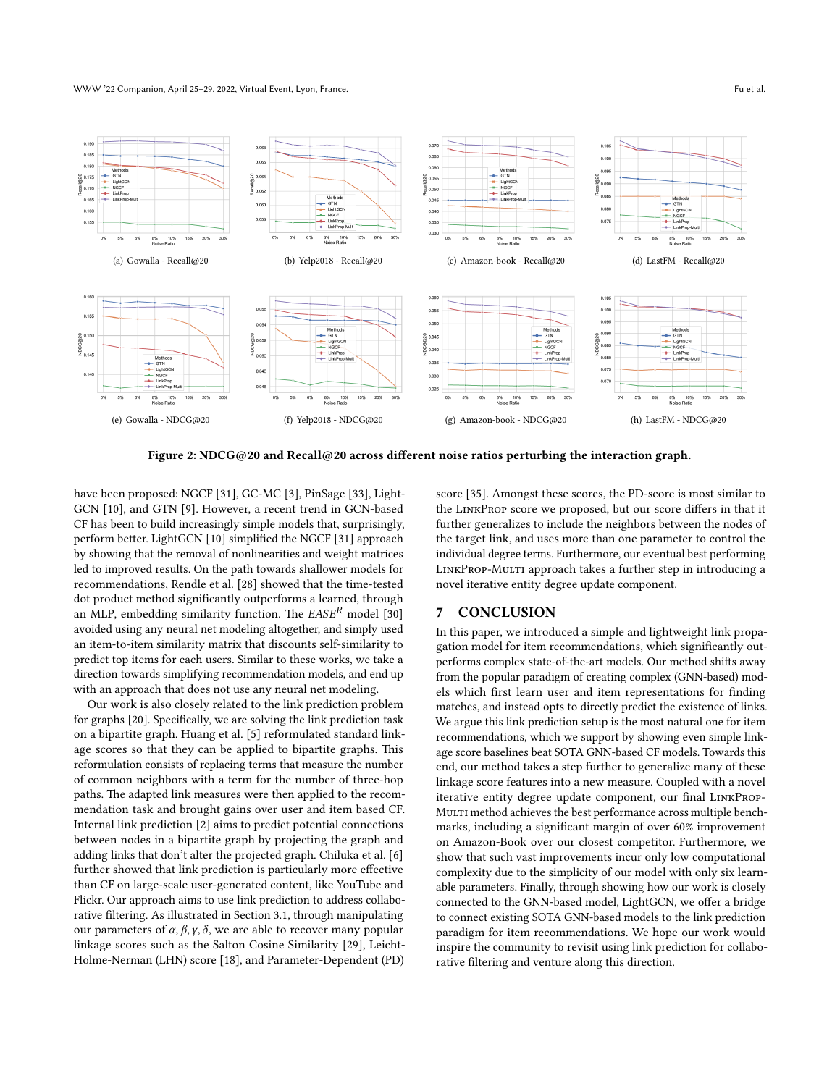#### WWW '22 Companion, April 25–29, 2022, Virtual Event, Lyon, France. Fu et al.

<span id="page-7-0"></span>

Figure 2: NDCG@20 and Recall@20 across different noise ratios perturbing the interaction graph.

have been proposed: NGCF [\[31\]](#page-8-0), GC-MC [\[3\]](#page-8-29), PinSage [\[33\]](#page-8-7), Light-GCN [\[10\]](#page-8-1), and GTN [\[9\]](#page-8-2). However, a recent trend in GCN-based CF has been to build increasingly simple models that, surprisingly, perform better. LightGCN [\[10\]](#page-8-1) simplified the NGCF [\[31\]](#page-8-0) approach by showing that the removal of nonlinearities and weight matrices led to improved results. On the path towards shallower models for recommendations, Rendle et al. [\[28\]](#page-8-12) showed that the time-tested dot product method significantly outperforms a learned, through an MLP, embedding similarity function. The  $EASE^R$  model [\[30\]](#page-8-33) avoided using any neural net modeling altogether, and simply used an item-to-item similarity matrix that discounts self-similarity to predict top items for each users. Similar to these works, we take a direction towards simplifying recommendation models, and end up with an approach that does not use any neural net modeling.

Our work is also closely related to the link prediction problem for graphs [\[20\]](#page-8-13). Specifically, we are solving the link prediction task on a bipartite graph. Huang et al. [\[5\]](#page-8-3) reformulated standard linkage scores so that they can be applied to bipartite graphs. This reformulation consists of replacing terms that measure the number of common neighbors with a term for the number of three-hop paths. The adapted link measures were then applied to the recommendation task and brought gains over user and item based CF. Internal link prediction [\[2\]](#page-8-34) aims to predict potential connections between nodes in a bipartite graph by projecting the graph and adding links that don't alter the projected graph. Chiluka et al. [\[6\]](#page-8-4) further showed that link prediction is particularly more effective than CF on large-scale user-generated content, like YouTube and Flickr. Our approach aims to use link prediction to address collaborative filtering. As illustrated in Section [3.1,](#page-2-3) through manipulating our parameters of  $\alpha$ ,  $\beta$ ,  $\gamma$ ,  $\delta$ , we are able to recover many popular linkage scores such as the Salton Cosine Similarity [\[29\]](#page-8-16), Leicht-Holme-Nerman (LHN) score [\[18\]](#page-8-17), and Parameter-Dependent (PD) score [\[35\]](#page-8-19). Amongst these scores, the PD-score is most similar to the LinkProp score we proposed, but our score differs in that it further generalizes to include the neighbors between the nodes of the target link, and uses more than one parameter to control the individual degree terms. Furthermore, our eventual best performing LINKPROP-MULTI approach takes a further step in introducing a novel iterative entity degree update component.

# 7 CONCLUSION

In this paper, we introduced a simple and lightweight link propagation model for item recommendations, which significantly outperforms complex state-of-the-art models. Our method shifts away from the popular paradigm of creating complex (GNN-based) models which first learn user and item representations for finding matches, and instead opts to directly predict the existence of links. We argue this link prediction setup is the most natural one for item recommendations, which we support by showing even simple linkage score baselines beat SOTA GNN-based CF models. Towards this end, our method takes a step further to generalize many of these linkage score features into a new measure. Coupled with a novel iterative entity degree update component, our final LinkProp-MULTI method achieves the best performance across multiple benchmarks, including a significant margin of over 60% improvement on Amazon-Book over our closest competitor. Furthermore, we show that such vast improvements incur only low computational complexity due to the simplicity of our model with only six learnable parameters. Finally, through showing how our work is closely connected to the GNN-based model, LightGCN, we offer a bridge to connect existing SOTA GNN-based models to the link prediction paradigm for item recommendations. We hope our work would inspire the community to revisit using link prediction for collaborative filtering and venture along this direction.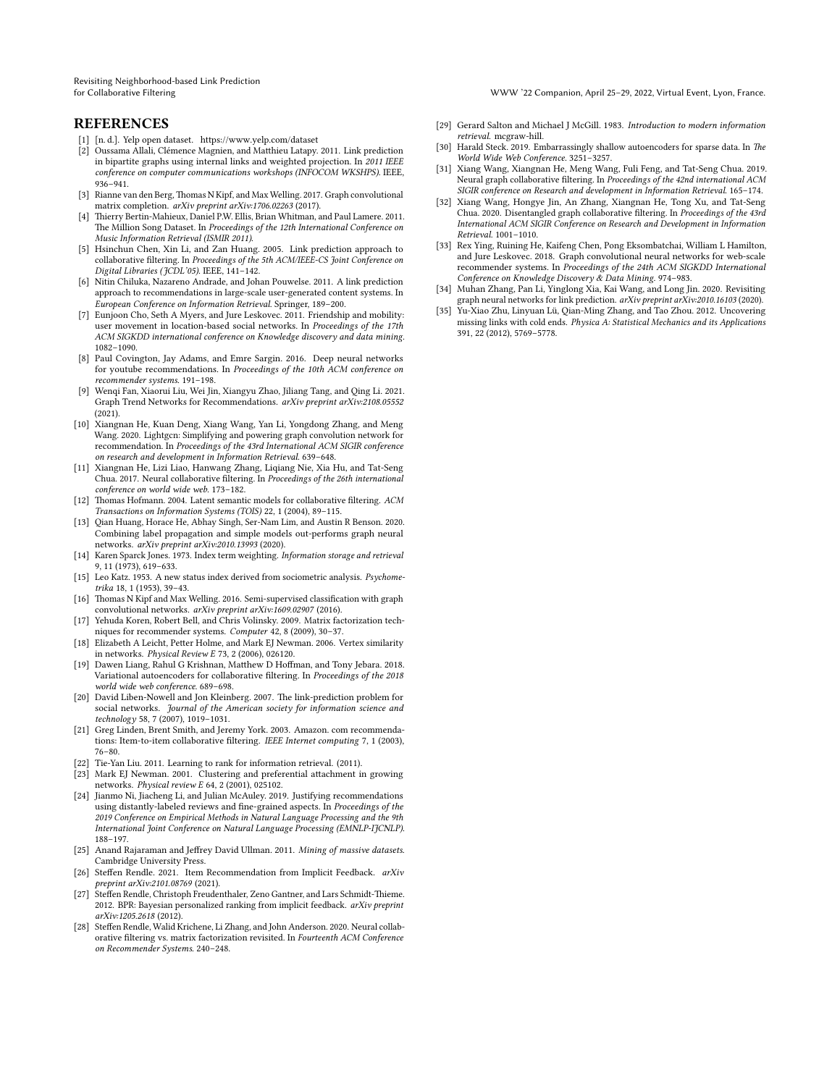Revisiting Neighborhood-based Link Prediction

for Collaborative Filtering WWW '22 Companion, April 25–29, 2022, Virtual Event, Lyon, France.

# **REFERENCES**

- <span id="page-8-25"></span>[1] [n. d.]. Yelp open dataset.<https://www.yelp.com/dataset>
- <span id="page-8-34"></span>[2] Oussama Allali, Clémence Magnien, and Matthieu Latapy. 2011. Link prediction in bipartite graphs using internal links and weighted projection. In 2011 IEEE conference on computer communications workshops (INFOCOM WKSHPS). IEEE, 936–941.
- <span id="page-8-29"></span>[3] Rianne van den Berg, Thomas N Kipf, and Max Welling. 2017. Graph convolutional matrix completion. arXiv preprint arXiv:1706.02263 (2017).
- <span id="page-8-27"></span>[4] Thierry Bertin-Mahieux, Daniel P.W. Ellis, Brian Whitman, and Paul Lamere. 2011. The Million Song Dataset. In Proceedings of the 12th International Conference on Music Information Retrieval (ISMIR 2011).
- <span id="page-8-3"></span>[5] Hsinchun Chen, Xin Li, and Zan Huang. 2005. Link prediction approach to collaborative filtering. In Proceedings of the 5th ACM/IEEE-CS Joint Conference on Digital Libraries (JCDL'05). IEEE, 141–142.
- <span id="page-8-4"></span>[6] Nitin Chiluka, Nazareno Andrade, and Johan Pouwelse. 2011. A link prediction approach to recommendations in large-scale user-generated content systems. In European Conference on Information Retrieval. Springer, 189–200.
- <span id="page-8-24"></span>[7] Eunjoon Cho, Seth A Myers, and Jure Leskovec. 2011. Friendship and mobility: user movement in location-based social networks. In Proceedings of the 17th ACM SIGKDD international conference on Knowledge discovery and data mining. 1082–1090.
- <span id="page-8-5"></span>[8] Paul Covington, Jay Adams, and Emre Sargin. 2016. Deep neural networks for youtube recommendations. In Proceedings of the 10th ACM conference on recommender systems. 191–198.
- <span id="page-8-2"></span>[9] Wenqi Fan, Xiaorui Liu, Wei Jin, Xiangyu Zhao, Jiliang Tang, and Qing Li. 2021. Graph Trend Networks for Recommendations. arXiv preprint arXiv:2108.05552 (2021).
- <span id="page-8-1"></span>[10] Xiangnan He, Kuan Deng, Xiang Wang, Yan Li, Yongdong Zhang, and Meng Wang. 2020. Lightgcn: Simplifying and powering graph convolution network for recommendation. In Proceedings of the 43rd International ACM SIGIR conference on research and development in Information Retrieval. 639–648.
- <span id="page-8-28"></span>[11] Xiangnan He, Lizi Liao, Hanwang Zhang, Liqiang Nie, Xia Hu, and Tat-Seng Chua. 2017. Neural collaborative filtering. In Proceedings of the 26th international conference on world wide web. 173–182.
- <span id="page-8-9"></span>[12] Thomas Hofmann. 2004. Latent semantic models for collaborative filtering. ACM Transactions on Information Systems (TOIS) 22, 1 (2004), 89–115.
- <span id="page-8-20"></span>[13] Qian Huang, Horace He, Abhay Singh, Ser-Nam Lim, and Austin R Benson. 2020. Combining label propagation and simple models out-performs graph neural networks. arXiv preprint arXiv:2010.13993 (2020).
- <span id="page-8-21"></span>[14] Karen Sparck Jones. 1973. Index term weighting. Information storage and retrieval 9, 11 (1973), 619–633.
- <span id="page-8-14"></span>[15] Leo Katz. 1953. A new status index derived from sociometric analysis. Psychometrika 18, 1 (1953), 39–43.
- <span id="page-8-32"></span>[16] Thomas N Kipf and Max Welling. 2016. Semi-supervised classification with graph convolutional networks. arXiv preprint arXiv:1609.02907 (2016).
- <span id="page-8-8"></span>[17] Yehuda Koren, Robert Bell, and Chris Volinsky. 2009. Matrix factorization techniques for recommender systems. Computer 42, 8 (2009), 30–37.
- <span id="page-8-17"></span>[18] Elizabeth A Leicht, Petter Holme, and Mark EJ Newman. 2006. Vertex similarity in networks. Physical Review E 73, 2 (2006), 026120.
- <span id="page-8-30"></span>[19] Dawen Liang, Rahul G Krishnan, Matthew D Hoffman, and Tony Jebara. 2018. Variational autoencoders for collaborative filtering. In Proceedings of the 2018 world wide web conference. 689–698.
- <span id="page-8-13"></span>[20] David Liben-Nowell and Jon Kleinberg. 2007. The link-prediction problem for social networks. Journal of the American society for information science and technology 58, 7 (2007), 1019–1031.
- <span id="page-8-6"></span>[21] Greg Linden, Brent Smith, and Jeremy York. 2003. Amazon. com recommendations: Item-to-item collaborative filtering. IEEE Internet computing 7, 1 (2003), 76–80.
- <span id="page-8-23"></span>[22] Tie-Yan Liu. 2011. Learning to rank for information retrieval. (2011).
- <span id="page-8-18"></span>[23] Mark EJ Newman. 2001. Clustering and preferential attachment in growing networks. Physical review E 64, 2 (2001), 025102.
- <span id="page-8-26"></span>[24] Jianmo Ni, Jiacheng Li, and Julian McAuley. 2019. Justifying recommendations using distantly-labeled reviews and fine-grained aspects. In Proceedings of the 2019 Conference on Empirical Methods in Natural Language Processing and the 9th International Joint Conference on Natural Language Processing (EMNLP-IJCNLP). 188–197.
- <span id="page-8-22"></span>[25] Anand Rajaraman and Jeffrey David Ullman. 2011. Mining of massive datasets. Cambridge University Press.
- <span id="page-8-10"></span>[26] Steffen Rendle. 2021. Item Recommendation from Implicit Feedback. arXiv preprint arXiv:2101.08769 (2021).
- <span id="page-8-11"></span>[27] Steffen Rendle, Christoph Freudenthaler, Zeno Gantner, and Lars Schmidt-Thieme. 2012. BPR: Bayesian personalized ranking from implicit feedback. arXiv preprint arXiv:1205.2618 (2012).
- <span id="page-8-12"></span>[28] Steffen Rendle, Walid Krichene, Li Zhang, and John Anderson. 2020. Neural collaborative filtering vs. matrix factorization revisited. In Fourteenth ACM Conference on Recommender Systems. 240–248.
- <span id="page-8-16"></span>[29] Gerard Salton and Michael J McGill. 1983. Introduction to modern information retrieval. mcgraw-hill.
- <span id="page-8-33"></span>[30] Harald Steck. 2019. Embarrassingly shallow autoencoders for sparse data. In The World Wide Web Conference. 3251–3257.
- <span id="page-8-0"></span>[31] Xiang Wang, Xiangnan He, Meng Wang, Fuli Feng, and Tat-Seng Chua. 2019. Neural graph collaborative filtering. In Proceedings of the 42nd international ACM SIGIR conference on Research and development in Information Retrieval. 165–174.
- <span id="page-8-31"></span>[32] Xiang Wang, Hongye Jin, An Zhang, Xiangnan He, Tong Xu, and Tat-Seng Chua. 2020. Disentangled graph collaborative filtering. In Proceedings of the 43rd International ACM SIGIR Conference on Research and Development in Information Retrieval. 1001–1010.
- <span id="page-8-7"></span>[33] Rex Ying, Ruining He, Kaifeng Chen, Pong Eksombatchai, William L Hamilton, and Jure Leskovec. 2018. Graph convolutional neural networks for web-scale recommender systems. In Proceedings of the 24th ACM SIGKDD International Conference on Knowledge Discovery & Data Mining. 974–983.
- <span id="page-8-15"></span>[34] Muhan Zhang, Pan Li, Yinglong Xia, Kai Wang, and Long Jin. 2020. Revisiting graph neural networks for link prediction. arXiv preprint arXiv:2010.16103 (2020).
- <span id="page-8-19"></span>[35] Yu-Xiao Zhu, Linyuan Lü, Qian-Ming Zhang, and Tao Zhou. 2012. Uncovering missing links with cold ends. Physica A: Statistical Mechanics and its Applications 391, 22 (2012), 5769–5778.